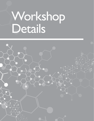# Workshop Details

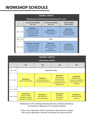# **WORKSHOP SCHEDULE**

| <b>SUNDAY, JUNE 25</b>                                 |                                                                                                                          |                                                                                                  |                                                                                              |
|--------------------------------------------------------|--------------------------------------------------------------------------------------------------------------------------|--------------------------------------------------------------------------------------------------|----------------------------------------------------------------------------------------------|
| <b>Workshops at University of Queensland St. Lucia</b> |                                                                                                                          |                                                                                                  |                                                                                              |
|                                                        | <b>Sir James Foots Building</b><br>$47A - 341$                                                                           | <b>Sir James Foots Building</b><br>$47A - 241$                                                   | <b>Hawken Building</b><br><b>Room 50-T203</b>                                                |
| 13:00 - 15:00                                          | Workshop 1:<br>MetaboTools: Analysis<br>of metabolomic data<br>in the context of the<br>metabolic model                  | <b>Workshop 2:</b><br><b>ANZMET Round Table</b><br>+ Peer Sessions                               | <b>Workshop 3:</b><br><b>EMN Workshop -</b><br><b>Experimental Design</b><br>in Metabolomics |
| 15:00 - 15:30                                          | <b>Break</b>                                                                                                             |                                                                                                  |                                                                                              |
| 15:30 - 17:30                                          | <b>Workshop 1 Continued:</b><br>MetaboTools: Analysis<br>of metabolomic data<br>in the context of the<br>metabolic model | <b>Workshop 4:</b><br>Network medicine<br>approaches for the<br>analysis of<br>metabolomics data | <b>Workshop 5:</b><br>EMN Workshop -<br><b>MS Metabolomics</b><br>Data Processing            |

| <b>Workshops at BCEC</b><br>M1<br>M <sub>2</sub><br>M3<br>M4<br>$8:00 - 19:00$<br><b>Registration is Open</b><br><b>Workshop 8:</b><br><b>Workshop 9:</b><br>Data Sharing,<br><b>EMN Workshop -</b><br><b>Workshop 7:</b>                                                                                                                   |
|---------------------------------------------------------------------------------------------------------------------------------------------------------------------------------------------------------------------------------------------------------------------------------------------------------------------------------------------|
|                                                                                                                                                                                                                                                                                                                                             |
|                                                                                                                                                                                                                                                                                                                                             |
|                                                                                                                                                                                                                                                                                                                                             |
| <b>Workshop 6:</b><br>Standardisation<br>$8:45 - 10:15$<br><b>Role of Metabolomics</b><br><b>Statistical Considerations</b><br><b>Hybrid Ion Mobility MS</b><br>and Workflow for<br>for Health & Diet Research<br>and Pathway Analysis<br>reproducible analysis in<br>Strategies<br>Metabolomics                                            |
| $10:15 - 10:30$                                                                                                                                                                                                                                                                                                                             |
| <b>Workshop 10:</b><br><b>Workshop 12:</b><br><b>Workshop 11:</b><br><b>Workshop 13:</b><br>Advances in High<br>Metabolite<br>$10:30 - 12:00$<br><b>EMN Workshop -</b><br><b>Clinical Biomarker</b><br><b>Throughput Targeted</b><br>Identification<br><b>Career Development</b><br>Detection<br><b>Metabolomics Analysis</b><br>Annotation |
| Metabolomics 2017 will begin Monday afternoon, following Workshops.<br>See Conference Agenda for the complete schedule.                                                                                                                                                                                                                     |
| There is not a registration desk at University of Queensland on Sunday.<br>Pick-up your registration materials on Monday morning at the BCEC.                                                                                                                                                                                               |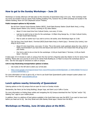# **How to get to the Sunday Workshops – June 25**

Workshops on Sunday afternoon will take place at the University of Queensland (UQ) in St Lucia. Most workshop meeting rooms are located in the Sir James Foots building (building 47A), however the (2) EMN workshops are located in the Hawken Building, Room 50-T203 (Raybould Lecture Theatre).

#### **Public transport options to UQ include:**

- Bus 66 from Cultural Centre Busway Station (BCEC), South Bank Busway Station (South Bank Area), or King George Square Station (City Centre); traveling to UQ Lakes Station.
	- o About 15 mins travel time from Cultural Centre, runs every 15 mins.
	- $\circ$  Last bus to catch to be on time for the workshops: 12:09pm King George Sq., 12:13pm Cultural Centre, 12:15pm South Bank Busway.
	- $\circ$  Plan to catch an earlier bus if you wish to arrive a bit earlier, since Workshops begin at 13:00.
- City Cat Ferry from South Bank 2 Terminal (BCEC/South Bank Area) or North Quay 1 Terminal (City Centre); traveling to UQ St Lucia.
	- $\circ$  About 25 mins travel time, runs every 15 mins. This is the scenic route upstream along the river, which is highly recommended if you have time and leisure and want to let the river breeze blow the jet lag out of your brains.
	- $\circ$  City Cat to catch to be on time for the workshops: 12:06 pm South Bank 2 Terminal, 12:09 pm North Quay 1 Terminal.

It takes appx 10-15 minutes to walk on campus from the City Cat Ferry Stop/UQ Lakes Bus Station to the Sir James Foots Building. Please plan your journey to arrive at Sir James Foots Building by 12:45pm to ensure the workshops start on time. See the next page for directions to walk on campus.

#### **Link to map illustrating transportation options is below.**

- o Use routes on the left side to select your arrival plan.
- o [https://www.google.com/maps/d/viewer?mid=1SoJi1FKVUsxZ6Jcmn9J5kHQEjXc&ll=-27.48451900067751%2C15](o	https://www.google.com/maps/d/viewer?mid=1SoJi1FKVUsxZ6Jcmn9J5kHQEjXc&ll=-27.48451900067751%2C153.01653739999995&z=15) [3.01653739999995&z=15](o	https://www.google.com/maps/d/viewer?mid=1SoJi1FKVUsxZ6Jcmn9J5kHQEjXc&ll=-27.48451900067751%2C153.01653739999995&z=15)

For more information on how to get to UQ, or how to use South East Queensland's public transport system please visit the Translink web page: [www.translink.com.au](http://www.translink.com.au)

## **Lunch options nearby University of Queensland**

Catering options on the UQ campus that are open for lunch on Sunday include:

Wordsmiths, Bar Merlo (at the Duhig Building), Burger Urge, and Saint Lucy's Caffe e Cucina.

For more information on finding these outlets and navigating the UQ Campus download the free "UQ Nav" and/or "UQ Walking Tour" apps to your mobile phone.

In addition, there is a plethora of food options available in the South Bank area near the BCEC if you want to have lunch before you head out to UQ. See Grey Street and Little Stanley Street appx 2 blocks from the BCEC.

## **Workshops on Monday, June 26 take place at the BCEC.**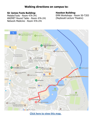# **Walking directions on campus to:**

## **Sir James Foots Building:**

MetaboTools - Room 47A-341 ANZMET Round Table - Room 47A-241 Network Medicine - Room 47A-241

## **Hawken Building:**

EMN Workshops - Room 50-T203 (Raybould Lecture Theatre)



**[Click here to view this map.](https://www.google.com/maps/d/viewer?mid=1SoJi1FKVUsxZ6Jcmn9J5kHQEjXc&ll=-27.49862186454093%2C153.01687005000008&z=18)**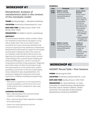# **WORKSHOP #1**

# **MetaboTools: Analysis of metabolomics data in the context of the metabolic model**

**THEME: Building Bridges — Metabolic Modelling**

**LOCATION: University of Queensland St. Lucia**

**DATE AND TIME: Sunday 25 June 13:00–17:30 (Break 15:00–15:30)**

**ORGANIZERS: Dr. Maike K. Aurich, Luxembourg** 

#### **ABSTRACT:**

Constraint-based metabolic models consider in detail the metabolite transformations that appear in living cells at steady-state. They can be used to predict intracellular flux routes connecting metabolites cells consume to byproducts they release (exo-metabolome). MetaboTools provides extensive support for the analysis of extracellular metabolomic data in the context of the metabolic model. We will provide lectures at the beginning of the workshop to ensure a basic common understanding of the constraint-based modeling and analysis (COBRA) approach. Hands-on training of a computational workflow of data preparation, integration, and model analysis will allow the participants to get first-hand experience on the requirements, analysis possibilities, and the limits of the intra-model analysis of exo-metabolomic data using MetaboTools. The workshop is designed for participants with limited experience in metabolic modeling and programming.

#### **OBJECTIVES:**

• Get hands-on experience on the requirements, analysis possibilities, and the limits of the intramodel analysis of exo-metabolomic data using MetaboTools

#### **LEARNING OUTCOMES:**

- Basic understanding of the constraint-based metabolic modeling approach
- Basic understanding of data integration strategies and model analysis
- Gather first-hand experiences with the computational set-up

#### **SCHEDULE**

| <b>Time</b>        | <b>Presenter</b>                                                                                             | <b>Topic</b>                                                                                                                                                                                                                                                                                                      |
|--------------------|--------------------------------------------------------------------------------------------------------------|-------------------------------------------------------------------------------------------------------------------------------------------------------------------------------------------------------------------------------------------------------------------------------------------------------------------|
| $13:00 -$<br>15:00 | <b>Maike K. Aurich</b><br>Research Associate,<br>Luxembourg Centre for<br>Systems Biomedicine,<br>Luxembourg | Quick-starter<br><b>lectures</b><br>Ensure a basic<br>(common)<br>understanding<br>of the subject of<br>the workshop<br>and that the<br>participants can<br>reach the aim of<br>the workshop.<br>1. Modeling<br>approach and<br>the metabolic<br>model<br>2. Data integration<br>strategies and<br>model analysis |
| $15:30-$<br>17:00  | <b>Maike K. Aurich</b><br>Research Associate,<br>Luxembourg Centre for<br>Systems Biomedicine,<br>Luxembourg | Hands-on<br>exercises<br><b>Guided tutorial</b><br>through the<br>complete<br>workflow of data<br>preparation,<br>integration, and<br>model analysis                                                                                                                                                              |

# **WORKSHOP #2**

# **ANZMET Round Table + Peer Sessions**

**THEME: Advancing the Field**

**LOCATION: University of Queensland St. Lucia**

**DATE AND TIME: Sunday 25 June 13:00-15:00**

**ORGANIZERS: Dr. Devin Benheim, La Trobe University; Dr. David de Souza, Metabolomics Australia; and Dr. Damien Callahan, Deakin University; The Australian & New Zealand Metabolomics Conference (ANZMET).**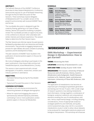#### **ABSTRACT:**

The hallmark features of the ANZMET Conference (Australian & New Zealand Metabolomics Conference; www.anzmet.org) are its use of facilitated networking through the Round Table Discussion & Peer Sessions. These workshops expose delegates of Metabolomics2017 to a smaller version of the powerful and extremely well-received ANZMET flavor and format:

The roundtable discussion is designed to get the creativity flowing, gathering a rich stew of ideas, themes, desires and questions bubbling in people's minds! The roundtable provides an opportunity early in the conference to discover other attendees with similar interests and relevant experience. This session helps to determine the Peer Session topics.

The Peer Sessions are informal, topical, focused sessions facilitated by attendees which are interactive and friendly environments. They provide an engaging interpersonal process for open debate, discussion, answers to pressing questions and the development of ideas.

The peer sessions of ANZMET have resulted in the publication of several position papers in the journal metabolites.

We invite all delegates attending to participate in this years' publications: http://www.mdpi.com/journal/ metabolites/special\_issues/Metabolomics\_Society.

This session is best experienced with a broad demographic of students, researchers, vendors and industry partners in attendance.

#### **OBJECTIVES:**

- Facilitated Networking during the Roundtable Discussion
- Topical and Focused Discussion in Peer Sessions

#### **LEARNING OUTCOMES:**

- Provides a rich and diverse environment for networking between all delegate demographics
- Allows for topical and engaging discussion in spontaneously selected topic(s) by attendees, culminating in one or more publications and/or position papers in the Journal Metabolites

#### **SCHEDULE:**

| <b>Time</b>        | Presenter                                                                                                              | <b>Topic</b>                          |
|--------------------|------------------------------------------------------------------------------------------------------------------------|---------------------------------------|
| $13:00 -$<br>13:05 | <b>Devin Benheim</b><br>President, ANZMET<br>Conference. Honorary<br>Research Fellow, La Trobe<br>University.          | Introduction                          |
| $13:05-$<br>14:00  | Devin Benheim, David de<br>Souza, Damien Callahan<br>Roundtable Discussion &<br>Nomination of Peer Session<br>Topic(s) | Facilitated<br>Networking             |
| $14:00 -$<br>15:00 | Devin Benheim, David de<br>Souza, Damien Callahan<br>Peer Sessions & Position<br>Papers/Publications Signup            | Spontaneous<br><b>Topic Selection</b> |

# **WORKSHOP #3**

## **EMN Workshop — Experimental Design in Metabolomics: How to get started?**

**THEME: Advancing the Field**

**LOCATION: University of Queensland St. Lucia**

**DATE AND TIME: Sunday 25 June 13:00–15:00**

**ORGANIZERS: Tim Causon, University of Natural Resources and Life Sciences, Vienna, Austria (Moderator); Julia Kuligowski, Health Research Institute La Fe, Valencia, Spain; and Johannes Fahrmann, University of Texas MD Anderson, USA**

#### **ABSTRACT:**

The application of metabolomics has become an important part of biological hypotheses generation and testing over the last 15 years. With a wide range of research questions now seeking metabolomelevel information, it brings together a combination of biological, analytical, statistical, and computational elements entailing the use of multidisciplinary skillsets. Hence, experimental design, including sampling considerations, choice of appropriate analytical strategies (platforms and methods), and quality control assessment play a key-role for a successful metabolomics study in order to allow robust datasets to be produced for meaningful statistical analysis and biological interpretation. This workshop will showcase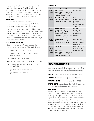experts discussing the core goals of experimental design in metabolomics. Possible solutions for commonly encountered challenges in both planning metabolomics studies and selection of suitable analytical strategies including quantification and data quality considerations will also be addressed.

#### **OBJECTIVES:**

- The primary intent of this workshop will be focused on two principle aspects: study design considerations and experimental approach.
- Presentations from experts in the field will address education and training needs of researchers new to the field and with different scientific backgrounds including the use of case study examples to help develop core competencies in experimental design for metabolomics studies.

#### **LEARNING OUTCOMES:**

- Before you get started: Thoughts about the importance and challenges of the study design:
	- Sample size and statistical power
	- Sample collection, handling, and storage considerations
	- Potential bias and challenges.
- Analytical strategies: Does the method fit the purpose?
	- Choosing appropriate analytical platforms and methods
	- Quality control in measurement
	- Quantification approaches

#### **SCHEDULE:**

| <b>Time</b>        | <b>Presenter</b>                                                                                                                                | <b>Topic</b>                                                                                            |
|--------------------|-------------------------------------------------------------------------------------------------------------------------------------------------|---------------------------------------------------------------------------------------------------------|
| $13:00 -$<br>13:05 | <b>Tim Causon</b><br>Senior Scientist, University of<br>Natural Resources and Life<br>Sciences, Vienna, Austria                                 | Introduction                                                                                            |
| $13:05 -$<br>13:35 | <b>David Broadhurst</b><br>Professor, Edith Cowan<br>University, Perth, Australia                                                               | Before you get<br>started: Thoughts<br>about the<br>importance and<br>challenges of the<br>study design |
| $13:35-$<br>14:05  | Kati Hanhineva<br>Adjunct Professor,<br>Coordinator for LC-MS<br>Metabolomics Center,<br>University of Eastern Finland,<br>Kuopio Area, Finland | Choosing<br>appropriate<br>analytical<br>platforms and<br>methods                                       |
| $14:05 -$<br>14:35 | Sastia Putri<br>Assistant professor, Osaka<br>University, Osaka, Japan                                                                          | Quantification<br>approaches and<br>Quality Control in<br>measurement                                   |
| $14:35-$<br>14:55  | <b>All speakers</b>                                                                                                                             | Open discussion<br>and questions                                                                        |
| $14:55 -$<br>15:00 | <b>Tim Causon</b><br>Senior Scientist, University of<br>Natural Resources and Life<br>Sciences, Vienna, Austria                                 | Closing remarks                                                                                         |

# **WORKSHOP #4**

## **Network medicine approaches for the analysis of metabolomic data**

**THEME: Metabolomics in Health and Medicine**

**LOCATION: University of Queensland St. Lucia**

**DATE AND TIME: Sunday 25 June 15:30–17:30**

**ORGANIZERS: Jessica Lasky-Su, Sc.D, Brigham and Womens Hospital Harvard Medical School**

#### **ABSTRACT:**

Network medicine is a rapidly emerging field that integrates systems biology and network science in the study of complex disease. It provides a holistic approach to better understand disease through the identification and investigation of linear and nonlinear relationships and networks of interacting components. Network medicine and its underlying concepts have numerous applications in many different biological contexts for the study of disease etiology, diagnosis, phenotyping and treatment.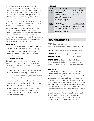Network medicine is particularly well-suited to the study of metabolomics datasets. These high dimensional, highly collinear and noisy datasets pose a number of analytical challenges that have yet to be fully addressed. To date network approaches have not been widely used in the study of such data, yet the inherent structure and comprehensive nature of metabolomic networks means that these methods are ideal for maximizing the information that can be gleaned from metabolomic studies.

This workshop will provide an introduction to the concepts of network medicine, an overview of network approaches in the analysis of metabolomic data, a discussion of the utility of networks in integrative omics studies, an opportunity for network visualization and an exploration of the advantages and potential pitfalls of such approaches.

#### **OBJECTIVES:**

- To introduce the concepts and theories underlying network based approaches in systems biology
- To explore the utilities, advantages and potential pitfalls of network approaches in the study of metabolomic data

#### **LEARNING OUTCOMES:**

This workshop will provide attendees with the basic skills necessary to apply network approaches in their analysis of metabolomics data moving forward, specifically to:

- Understand the concept of network medicine and its role in the study of biology and disease
- Explore how metabolic pathways can be related to metabolomic networks
- Identify dynamic networks in large metabolomic profiling datasets, and distinguish the hubs, nodes and edges comprising these networks
- Recognize the limitations and potential pitfalls of these approaches, and consider how the continued development of the field is aiming to address these challenges

#### **SCHEDULE:**

| <b>Time</b>       | <b>Presenter</b>                                                                                                                                                           | <b>Topic</b>                                                          |
|-------------------|----------------------------------------------------------------------------------------------------------------------------------------------------------------------------|-----------------------------------------------------------------------|
| $15:30-$<br>16:30 | Jessica Lasky-Su, Sc.D<br>(moderator)<br>Associate Professor,<br>Channing Division of<br>Network Medicine, Brigham<br>and Womens Hospital<br><b>Harvard Medical School</b> | Network theory<br>and the concepts<br>of network<br>medicine          |
| $16:30-$<br>17:30 | <b>Rachel Kelly, PhD</b><br>Postdoctoral Research<br>Fellow, Channing Division of<br>Network Medicine, Brigham<br>and Womens Hospital<br><b>Harvard Medical School</b>     | The application of<br>network medicine<br>to metabolomics<br>datasets |

# **WORKSHOP #5**

## **EMN Workshop — MS Metabolomics Data Processing**

**THEME: Metabolomics in Health and Medicine**

**LOCATION: University of Queensland St. Lucia** 

**DATE AND TIME: Sunday 25 June 15:30–17:30**

**ORGANIZERS: Jan Stanstrup, Steno Diabetes Center, Denmark; and Charmion Cruickshank-Quinn, University of Colorado Anschutz Medical Campus, USA**

#### **ABSTRACT:**

Processing large amounts of untargeted metabolomics data can be daunting, and the publicly available software tools rarely include an easy-to-understand walk-through. Participants will learn about several open source tools for analyzing their untargeted LC/ MS and GC/MS data and how to get their spectra and raw data in the format needed for statistical analysis. The workshop will explain XCMS, CAMERA, and associated tools to process untargeted metabolomics data by providing examples, and demonstrating how to use the software. There will be a focus on practical skills and pitfalls so that the participants have an understanding of how to approach their data and answer their questions after the workshop.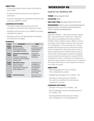#### **OBJECTIVES:**

- To teach participants how to import their data for use in XCMS
- To demonstrate how results can vary based on parameters
- To present databases for metabolite annotation with a focus on CAMERA in XCMS

#### **LEARNING OUTCOMES:**

- Participants will be able to process their own untargeted LC-MS and GC-MS metabolomics data
- Attendees will know how to use CAMERA to perform metabolite annotation
- Attendees will learn the appropriate normalization and imputation strategies

#### **SCHEDULE:**

| <b>Time</b>       | <b>Presenter</b>                                                                                                 | <b>Topic</b>                                                                                                       |
|-------------------|------------------------------------------------------------------------------------------------------------------|--------------------------------------------------------------------------------------------------------------------|
| $15:30-$<br>16:10 | Jan Stanstrup<br>Research Scientist,<br>Steno Diabetes Center<br>Copenhagen, Denmark                             | LC/MS pre-<br>processing: XCMS<br>and parameter<br>optimization                                                    |
| $16:15-$<br>16:35 | <b>Charmion Cruickshank-</b><br>Quinn<br>Instructor, University of<br>Colorado Anschutz Medical<br>Campus, USA   | Annotation:<br>CAMERA and<br>databases                                                                             |
| $16:40-$<br>17:10 | <b>Warwick B. Dunn</b><br>Senior Lecturer &<br>Director of Mass<br>Spectrometry, University<br>of Birmingham, UK | Comparison of<br>strategies for<br>normalization,<br>missing value<br>imputation,<br>transformation<br>and scaling |
| $17:15-$<br>17:30 | <b>Panel Discussion</b>                                                                                          | <b>Discussion: Post</b><br>data extraction                                                                         |

# **WORKSHOP #6**

# **Hybrid Ion Mobility MS**

**THEME: Advancing the Field** 

**LOCATION: BCEC**

**DATE AND TIME: Monday 26 June 8:45–10:15**

**ORGANIZERS: Endre Laczko, Head Metabolomics Group at FGCZ, ETH Zürich and University of Zürich, Switzerland (Moderator)**

#### **ABSTRACT:**

Hybrid Ion Mobility — Mass Spectrometry systems (IMS – MS) are known for many years. Today, IMS-MS systems are available from several vendors (TofWerk, Waters, Agilent, Bruker, ABSciex, Thermo may follow soon), however they are still rarely used for metabolomics. In this workshop the currently available IMS-MS types will be presented and their use for metabolomics will be discussed. Further, it will be explained how an IMS-MS method is set up and how the resulting data is analysed. Exemplary cases will allow the participants to valuate IMS-MS metabolomics data in comparison to metabolomics data from other systems currently in use. It is planned to include a Q&A session and to explore the interest for an IMS user group.

#### **OBJECTIVES:**

- Presenting applications of ion mobility MS in metabolomics studies
- Highlighting advantages of ion mobility MS
- Initiating an interest group Ion Mobility MS under the umbrella of the International metabolomics Society

#### **LEARNING OUTCOMES:**

- Valuation of the use of ion mobility MS
- Basic knowledge to set up a workflow based on ion mobility – MS
- Knowing people already using ion mobility MS in metabolomics, including lipidomics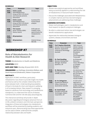#### **SCHEDULE:**

| Time               | <b>Presenter</b>                                                                                                         | <b>Topic</b>                                                        |
|--------------------|--------------------------------------------------------------------------------------------------------------------------|---------------------------------------------------------------------|
| $8:45-$<br>9:00    | <b>Endre Laczko</b><br><b>Head Metabolomics</b><br>Group at FGCZ, ETH Zürich<br>and University of Zürich,<br>Switzerland | Introduction                                                        |
| $9:00 -$<br>9:20   | <b>Endre Laczko</b><br><b>Head Metabolomics</b><br>Group at FGCZ, ETH Zürich<br>and University of Zürich,<br>Switzerland | A protocol for<br>human blood<br>analysis                           |
| $9:20 -$<br>9:40   | <b>Tim Causon</b><br>Senior Scientist, BOKU<br>Vienna, Austria                                                           | Drift tube ion<br>mobility-mass<br>spectrometry for<br>metabolomics |
| $9:40-$<br>10:00   | All presenters                                                                                                           | 0&A                                                                 |
| $10:00 -$<br>10:15 | All presenters                                                                                                           | Interest Group<br><b>IMS-MS</b>                                     |

# **WORKSHOP #7**

## **Role of Metabolomics for Health & Diet Research**

**THEME: Metabolomics in Health and Medicine**

**LOCATION: BCEC**

**DATE AND TIME: Monday 26 June 8:45–10:15**

**ORGANIZERS: Lee Gethings; Antonietta Wallace; and David Heywood (Moderator), Waters Corporation**

#### **ABSTRACT:**

Application of OMIC workflows, particularly metabolomics has shown to provide insight into health and food as well as the complex relationship which exists between both. Understanding bioavailability of food in the body for short and long term wellbeing is of increasing interest. New research is emerging based on advances from technology and metabolomic standpoints, to understand the nature of disease, nutritional diet and the role diet plays physiologically.

This interactive workshop will provide in-depth discussion regarding technological advances from an LC-MS, ambient ionisation and informatic perspective. Integration of these technologies into metabolomic workflows will be presented by leading academic and industrial users, demonstrating how these approaches can be used to better understand the complex relationship between diet and health.

#### **OBJECTIVES:**

- Review new analytical approaches and workflows being successfully applied to understanding the role of metabolomics in food and health research
- Discuss the challenges associated with Metabolomics in complex matrices and how new technological advancements are addressing these challenges

#### **LEARNING OUTCOMES:**

- Relate methodologies used in metabolomics and food research to specific analytical challenges
- Be able to understand where new technologies can benefit metabolomics applications
- Appreciate the relationship between biological systems, disease, environment and food

#### **SCHEDULE:**

| <b>Time</b>        | Presenter                                                                                                                       | <b>Topic</b>                                                                                                                            |
|--------------------|---------------------------------------------------------------------------------------------------------------------------------|-----------------------------------------------------------------------------------------------------------------------------------------|
| $8:45-$<br>9:05    | <b>Prof. Stephen Blanksby</b><br>Director, Central Analytical<br>Research, Queensland<br>University of Technology,<br>Australia | High-pressure<br>Ozone-Induced<br>Dissociation for<br>Lipid Structure<br>Elucidation<br>on Fast<br>Chromatographic<br><b>Timescales</b> |
| $9:05 -$<br>9:15   | <b>Dr. Paul Goulding</b><br><b>Business Development</b><br>Manager, Nonlinear<br>Dynamics, UK                                   | An Enhanced<br>Discovery<br>'Omics Workflow<br>in Complex<br>Biological<br><b>Matrices</b>                                              |
| $9:15-$<br>9:35    | <b>Dr. Marten Snel</b><br>Principal Research Fellow,<br><b>SAHMRI, Australia</b>                                                | Are identical mice<br>the same? The<br>gut microbiome<br>and faecal<br>metabolome in<br>mouse models                                    |
| $9:35-$<br>9:55    | <b>Dr. Fe Calingacion</b><br>Postdoctoral Research<br>Fellow, University of<br>Queensland, Australia                            | A multi-omics<br>approach to<br>understand grain<br>quality using a<br>diverse set of rice                                              |
| $9:55-$<br>10:05   | <b>Dr. Sarah Stead</b><br><b>Principle Scientist MS</b><br>Technologies, Waters<br>Corporation, UK                              | Rapid Evaporative<br>Ion Mass<br>Spectrometry:<br>An emerging<br>disruptive<br>technology for<br>foodomics                              |
| $10:05 -$<br>10:15 | Discussion                                                                                                                      |                                                                                                                                         |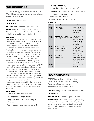# **WORKSHOP #8**

## **Data Sharing, Standardisation and Workflow for reproducible analysis in Metabolomics**

**THEME: Advancing the Field**

**LOCATION: BCEC**

**DATE AND TIME: Monday 26 June 8:45–10:15**

**ORGANIZERS: Reza Salek (Chair/Moderator); Oliver Jones; Saravanan Dayalan; Masanori Arita; Pablo Moreno; and Christoph Steinbeck**

#### **ABSTRACT:**

Reproducing results in any science is quite challenging. In the field of metabolomics, for results to become reproducible, descriptions of an investigation in a manuscript are not sufficient. To surpass this, and increase the chance of result reproducibility, standard frameworks for data sharing and sharing of experimental data are invaluable. We now have several data sharing platforms such as MetaboLights and Metabolomics Workbench that aim to make use of such standards to promote data-sharing. In this workshop, we will discuss data sharing as well as metabolomics data formats, much of which are adopted from the efforts in the proteomics HUPO-PSI initiative. Examples and application of data formats such as mzML and nmrML would be given. We will also present and discuss mzTab developments for metabolite identification. We will also demonstrate how emerging metabolomics data sharing platforms can promote open, accessible data sharing standards. Finally, we will discuss computational workflows for metabolomics data analysis within the PhenoMeNal e-infrastructure. We hope to make the metabolomics community aware of such efforts and ideally how to get involved.

#### **OBJECTIVES:**

- Overview of data standards formats
- Capturing and reporting meta-data
- Using workflow and PhenoMeNal compute infrastructure
- Reference spectra data exchange and remix

#### **LEARNING OUTCOMES:**

- Learning about different data standards efforts
- Importance of data sharing and Meta-data reporting
- Role of workflow and infrastructures for metabolomics data analysis
- Access and sharing reference spectra

#### **SCHEDULE:**

| <b>Time</b>        | Presenter                                                  | <b>Topic</b>                                                                                |
|--------------------|------------------------------------------------------------|---------------------------------------------------------------------------------------------|
| $8:45-$<br>9:05    | <b>Reza Salek</b><br>EMBL-EBI, UK                          | Data standards,<br>data sharing and<br>workflows in<br>$metabolomics -$<br>an overview      |
| $9:05 -$<br>9:20   | Saravanan Dayalan<br>University of Melbourne, AU           | Complying with<br>international<br>data standards<br>through data<br>management<br>software |
| $9:20-$<br>9:40    | Masanori Arita<br>National Institute of<br>Genetics, Japan | Complying with<br>standards in<br>a multi-user<br>environment: the<br>case of MassBank      |
| $9:40-$<br>10:00   | Pablo Moreno<br>EMBL-EBI, UK                               | PhenoMeNal<br>technical overview<br>and how to bring<br>your tools to the<br>framework      |
| $10:00 -$<br>10:15 |                                                            | Discussion and<br>questions                                                                 |

# **WORKSHOP #9**

**EMN Workshop — Statistical Considerations and Pathway Analysis Strategies for Metabolomics Datasets**

**THEME: Building Bridges — Metabolic Modelling**

**LOCATION: BCEC**

**DATE AND TIME: Monday 26 June 8:45–10:15**

**ORGANIZERS: Johannes F. Fahrmann, University of Texas, MD Anderson, USA; Fidele Tugizimana, University of Johannesburg, South Africa; and Stacey Reinke, Murdoch University, Australia (Moderator)**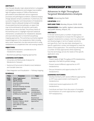#### **ABSTRACT:**

Over the past decade, major advancements in untargeted and targeted metabolomics technologies have enabled high-throughput analysis of 1000s of biochemical perturbations associated with various organismal processes and pathological conditions. Statistical analysis of large datasets remains a bottleneck. Furthermore, the successful integration and interpretation of metabolomic datasets requires adequate background knowledge of associated biochemical pathways, an aspect that may not be attributed to all scientists, particularly those that are new to the field. The primary intents of this workshop are to 1) highlight important statistical/ chemometric considerations for metabolomic datasets and 2) provide education on biochemical pathway mapping approaches. This workshop is primarily targeted towards beginners in the metabolomics field, including early-career researchers, but also everyone who is using metabolomics to complement their own existing research.

#### **OBJECTIVES:**

- Statistical/chemometric considerations for metabolomic datasets
- Biochemical pathway mapping approaches

#### **LEARNING OUTCOMES:**

- Univariate and Multivariate Analyses for Metabolomic Datasets
- Statistical (Chemometric) Model (cross) Validation and Variable Selection
- Data Integration and Visualization Pathway mapping

#### **SCHEDULE:**

| <b>Time</b>        | <b>Presenter</b>                                                                                                                                      | <b>Topic</b>                                                                 |
|--------------------|-------------------------------------------------------------------------------------------------------------------------------------------------------|------------------------------------------------------------------------------|
| $8:45-$<br>8:50    | Fidele Tugizimana /<br><b>Stacey Reinke</b><br><b>FMN Committee</b><br>University of Johannesburg,<br>South Africa /<br>Murdoch University, Australia | Introduction                                                                 |
| $8:50-$<br>9:15    | Saravanan Dayalan<br>Lead Scientist/<br>Bioinformatician, University<br>of Melbourne, Australia                                                       | Statistical/<br>chemometric<br>considerations<br>for metabolomic<br>datasets |
| $19:15-$<br>10:00  | Jianguo Xia<br>Jourdan Fabien<br>Assistant Professor, McGill<br>University, Canada<br>INRA UMR1331 Toxalim,<br>France                                 | Biochemical<br>pathway mapping<br>approaches                                 |
| $10:00 -$<br>10:15 | All presenters                                                                                                                                        | O/A                                                                          |

# **WORKSHOP #10**

## **Advances in High Throughput Targeted Metabolomics Analysis**

**THEME: Advancing the Field**

**LOCATION: BCEC**

**DATE AND TIME: Monday 26 June 10:30–12:00**

**ORGANIZERS: Alex Apffel, Agilent Laboratories; and Judith Denery, Amyris, Inc.**

#### **ABSTRACT:**

In the last several years a number of approaches have been developed to increase the throughput of targeted metabolomics analysis. Each has advantages and disadvantages in terms of speed, sensitivity and specificity. Each has also been developed in a specific application context and designed to meet the needs of that application. This workshop will explore a number of these approaches while explaining how the technology serves the needs of the specific application area.

#### **OBJECTIVES:**

- Present needs of High Throughput (HTP) metabolomics, especially in the field of synthetic biology.
- Present several different approaches to HTP metabolomics
- Discuss limitations and opportunities for HTP metabolomics

#### **LEARNING OUTCOMES:**

- Develop familiarity with several different approaches to HTP mass spectrometric techniques for metabolomics
- Understand several applications for HTP metabolomics.
- Contribute and learn from discussion of strengths and limitations of current approaches to targeted HTP metabolomics.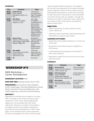#### **SCHEDULE:**

| <b>Time</b>        | <b>Presenter</b>                                                                                         | <b>Topic</b>                                                                                                                                                                                 |
|--------------------|----------------------------------------------------------------------------------------------------------|----------------------------------------------------------------------------------------------------------------------------------------------------------------------------------------------|
| $10:30 -$<br>10:50 | <b>Judith Denery</b><br>Senior Scientist,<br>BioAnalytics, Amyris, Inc.,<br><b>USA</b>                   | Introduction<br>and Context for<br><b>High Throughput</b><br>Metabolomics                                                                                                                    |
| $10:50 -$<br>11:10 | <b>Rich Ellson</b><br>CTO and Co-Founder,<br>Labcyte, Inc., USA                                          | Ultra-High<br>Throughput<br>Screening (UHTS)<br>with Acoustic<br>Mist Injection<br>(AMI) Exceeds<br>100K Samples Per<br>Day: Emerging<br>Opportunities for<br>Lipidomics and<br>Metabolomics |
| $11:10-$<br>11:30  | <b>Steven Gross</b><br>Professor of Pharmacology,<br>Pharmacology, Weill Cornell<br>Medical College, USA | Multiplexed<br>High-throughput<br>Biomolecule<br>Quantification<br>Using<br><b>RapidFire Mass</b><br>Spectrometry                                                                            |
| $11:30-$<br>11:50  | <b>Alex Apffel</b><br>Senior Research Scientist,<br>Agilent Research<br>Laboratories, USA                | UHPLC-MS<br>Approaches for<br><b>High Throughput</b><br>Metabolomics                                                                                                                         |
| $11:50-$<br>12:00  | All                                                                                                      | Discussion                                                                                                                                                                                   |

# **WORKSHOP #11**

### **EMN Workshop — Career Development**

#### **WORKSHOP LOCATION: BCEC**

**DATE AND TIME: Monday 26 June 10:30–12:00**

**ORGANIZERS: Jan Stanstrup, Steno Diabetes Center Copenhagen, Denmark (Moderator); Stacey Reinke, Murdoch University (Moderator); and Fidele Tugizimana, University of Johannesburg**

#### **ABSTRACT:**

Regardless of individual area of research, one topic that is invariably on the minds of all early-career researchers is their career. Many postgraduate degrees are not associated with clear career trajectories. Moreover, as students and postdocs are largely trained in the academic setting they lack exposure and training specific to other career paths. In this workshop, early-career researchers will hear from speakers who chose careers outside research-based academic positions. The speakers will use their own experience to formulate actionable career progression advice for early-career scientists. Following the presentations, we will have 30 minutes for open discussion and questions so that attendees can directly interact with our speakers. Through this workshop, we hope to make early-career researchers more aware of their career options and potential paths to obtain them.

#### **OBJECTIVES:**

- Improve awareness of career options for earlycareer researchers
- Help early-career researchers identify pathways and mechanisms to achieve these careers

#### **LEARNING OUTCOMES:**

- Appreciation that Academic Research is not the only career path.
- Recognition of the diverse careers available for a PhD scientist.
- Understanding what employers are looking for in early career scientists.
- Being able to weigh the pros and cons of the career paths discussed.

#### **SCHEDULE:**

| <b>Time</b>        | <b>Presenter</b>                                                                                     | <b>Topic</b>                                 |
|--------------------|------------------------------------------------------------------------------------------------------|----------------------------------------------|
| $10:30 -$<br>10:50 | Krista Zanetti<br>Program Director, National<br>Cancer Institute, USA                                | Career Pathways<br>in Government             |
| $10:50 -$<br>11:10 | <b>Ralf Tautenhahn</b><br>Product Manager<br>Metabolomics Software,<br>Thermo Fisher Scientific, USA | Career Pathways<br>for Industry              |
| $11:10 -$<br>11:30 | <b>Mary Boyce</b><br>Associate Professor, Edith<br>Cowan University, Australia                       | Career Pathways<br>for Academic<br>Lecturers |
| $11:30-$<br>12:00  | All                                                                                                  | Open discussion<br>and questions             |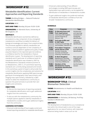# **WORKSHOP #12**

# **Metabolite Identification: Current Approaches and Reporting Standards**

**THEME: Building Bridges — Natural Products/ Metabolite Identification**

#### **LOCATION: BCEC**

**DATE AND TIME: Monday 26 June 10:30–12:00**

#### **ORGANIZERS: Dr Warwick Dunn, University of Birmingham, UK**

#### **ABSTRACT:**

Metabolite identification (sometimes defined as annotation) is a key component of any untargeted metabolomics workflow to enable the delivery of biological knowledge and impact from analytical data. The processes applied to identify metabolites are numerous and are dependent on the complexity of sample, analytical platform applied and quality of data acquired. Based on the reported spectral evidence, a confidence level for the metabolite or feature identification is given. The development of reporting standards and in particular of confidence levels for metabolite identification was initiated in 2007 by the Metabolomics Standards Initiative [Sumner et al. Metabolomics, 2007, 3, 211] and these reporting standards are currently being assessed and revised. In this workshop a panel of experts will provide their current insights into the complexities and solutions for metabolite identification applying NMR spectroscopy, gas/liquid chromatography-mass spectrometry and imaging mass spectrometry, followed by a Q&A session to allow the metabolomics community to question the panel and also to provide their own insights and comments.

#### **OBJECTIVES:**

- To discuss the importance of reporting standards for metabolite identification and to gain additional insights from the community
- To discuss with the metabolomics community the multiple options applied to identify metabolites in metabolomics studies and to gain additional insights from the community

#### **LEARNING OUTCOMES:**

• Enhanced understanding of how to apply current and revised reporting standards for metabolite identification

- Enhanced understanding of how different technologies including NMR spectroscopy and hyphenated mass spectrometry can be applied for identification of metabolites in metabolomics studies
- To gain additional insights into preferred methods of metabolite identification confidence from the broader metabolomics community

#### **SCHEDULE:**

| <b>Time</b>        | <b>Presenter</b>                                                                                                                        | <b>Topic</b>                                                                   |
|--------------------|-----------------------------------------------------------------------------------------------------------------------------------------|--------------------------------------------------------------------------------|
| $10:30 -$<br>11:00 | <b>Dr Warwick Dunn and</b><br><b>Prof. Lloyd Sumner</b><br>University of Birmingham,<br>UK and University of<br>Missouri, USA           | Introduction<br>and reporting<br>standards for<br>metabolite<br>identification |
| $11:00 -$<br>11.15 | <b>Prof. Jules Griffin and</b><br><b>Dr Neil Taylor</b><br>University of Cambridge, UK<br>and President, Chenomx Inc                    | NMR and<br>metabolite<br>identification                                        |
| $11:15-$<br>11:30  | <b>Prof. Robert Trengrove</b><br>and Dr Darren Creek<br>Murdoch University,<br><b>Australia and Monash</b><br>University, Australia and | LC-MS, GC-MS<br>and metabolite<br>identification                               |
| $11:30-$<br>11:45  | <b>Dr Berin Boughton</b><br>Metabolomics Australia,<br>School of BioSciences, The<br>University of Melbourne                            | Mass spectral<br>imaging and<br>metabolite<br>identification                   |
| $11:45-$<br>12:00  | <b>Members of the</b><br><b>Metabolomics Society</b><br><b>Metabolite Identification</b><br>task group                                  | Ask the Experts<br>session                                                     |

# **WORKSHOP #13**

## **WORKSHOP TITLE: Clinical Biomarker Detection**

**THEME: Metabolomics in Health and Medicine**

**LOCATION: BCEC**

**DATE AND TIME: Monday 26 June 10:30–12:00**

**ORGANIZERS: Dr Nicholas J W Rattray, Prof Roy Goodacre (Moderator)**

#### **ABSTRACT:**

The development of metabolomics as a translational tool within the clinical realm is one of the major applications for our area of science, with important advances being made in areas such as risk